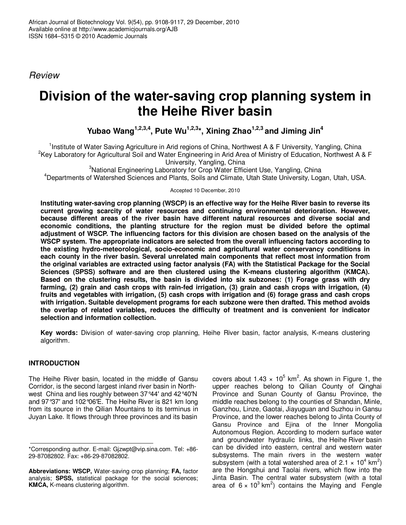*Review*

# **Division of the water-saving crop planning system in the Heihe River basin**

**Yubao Wang 1,2,3,4 , Pute Wu 1,2,3 \*, Xining Zhao 1,2,3 and Jiming Jin 4**

<sup>1</sup>Institute of Water Saving Agriculture in Arid regions of China, Northwest A & F University, Yangling, China <sup>2</sup>Key Laboratory for Agricultural Soil and Water Engineering in Arid Area of Ministry of Education, Northwest A & F University, Yangling, China

<sup>3</sup>National Engineering Laboratory for Crop Water Efficient Use, Yangling, China <sup>4</sup>Departments of Watershed Sciences and Plants, Soils and Climate, Utah State University, Logan, Utah, USA.

Accepted 10 December, 2010

Instituting water-saving crop planning (WSCP) is an effective way for the Heihe River basin to reverse its **current growing scarcity of water resources and continuing environmental deterioration. However, because different areas of the river basin have different natural resources and diverse social and economic conditions, the planting structure for the region must be divided before the optimal adjustment of WSCP. The influencing factors for this division are chosen based on the analysis of the WSCP system. The appropriate indicators are selected from the overall influencing factors according to the existing hydro-meteorological, socio-economic and agricultural water conservancy conditions in each county in the river basin. Several unrelated main components that reflect most information from the original variables are extracted using factor analysis (FA) with the Statistical Package for the Social Sciences (SPSS) software and are then clustered using the K-means clustering algorithm (KMCA). Based on the clustering results, the basin is divided into six subzones: (1) Forage grass with dry farming, (2) grain and cash crops with rain-fed irrigation, (3) grain and cash crops with irrigation, (4) fruits and vegetables with irrigation, (5) cash crops with irrigation and (6) forage grass and cash crops with irrigation. Suitable development programs for each subzone were then drafted. This method avoids the overlap of related variables, reduces the difficulty of treatment and is convenient for indicator selection and information collection.**

**Key words:** Division of water-saving crop planning, Heihe River basin, factor analysis, K-means clustering algorithm.

# **INTRODUCTION**

The Heihe River basin, located in the middle of Gansu Corridor, is the second largest inland river basin in Northwest China and lies roughly between 37°44' and 42°40'N and 97°37' and 102°06'E. The Heihe River is 821 km long from its source in the Qilian Mountains to its terminus in Juyan Lake. It flows through three provinces and its basin

covers about 1.43  $\times$  10<sup>5</sup> km<sup>2</sup>. As shown in Figure 1, the upper reaches belong to Qilian County of Qinghai Province and Sunan County of Gansu Province, the middle reaches belong to the counties of Shandan, Minle, Ganzhou, Linze, Gaotai, Jiayuguan and Suzhou in Gansu Province, and the lower reaches belong to Jinta County of Gansu Province and Ejina of the Inner Mongolia Autonomous Region. According to modern surface water and groundwater hydraulic links, the Heihe River basin can be divided into eastern, central and western water subsystems. The main rivers in the western water subsystem (with a total watershed area of 2.1  $\times$  10<sup>4</sup> km<sup>2</sup>) are the Hongshui and Taolai rivers, which flow into the Jinta Basin. The central water subsystem (with a total area of 6  $\times$  10<sup>3</sup> km<sup>2</sup>) contains the Maying and Fengle

<sup>\*</sup>Corresponding author. E-mail: Gjzwpt@vip.sina.com. Tel: +86- 29-87082802. Fax: +86-29-87082802.

**Abbreviations: WSCP,** Water-saving crop planning; **FA,** factor analysis; **SPSS,** statistical package for the social sciences; **KMCA,** K-means clustering algorithm.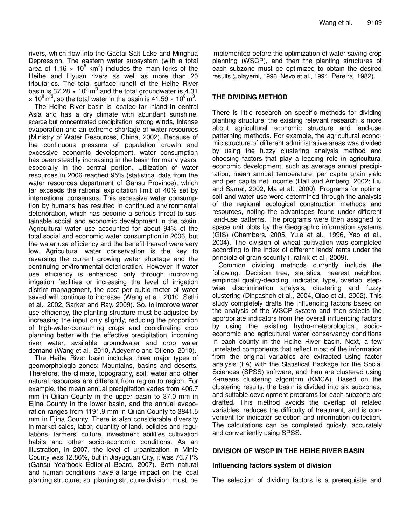rivers, which flow into the Gaotai Salt Lake and Minghua Depression. The eastern water subsystem (with a total area of 1.16  $\times$  10<sup>5</sup> km<sup>2</sup>) includes the main forks of the Heihe and Liyuan rivers as well as more than 20 tributaries. The total surface runoff of the Heihe River basin is 37.28  $\times$  10<sup>8</sup> m<sup>3</sup> and the total groundwater is 4.31  $\times$  10<sup>8</sup> m<sup>3</sup>, so the total water in the basin is 41.59  $\times$  10<sup>8</sup> m<sup>3</sup>.

The Heihe River basin is located far inland in central Asia and has a dry climate with abundant sunshine, scarce but concentrated precipitation, strong winds, intense evaporation and an extreme shortage of water resources (Ministry of Water Resources, China, 2002). Because of the continuous pressure of population growth and excessive economic development, water consumption has been steadily increasing in the basin for many years, especially in the central portion. Utilization of water resources in 2006 reached 95% (statistical data from the water resources department of Gansu Province), which far exceeds the rational exploitation limit of 40% set by international consensus. This excessive water consumption by humans has resulted in continued environmental deterioration, which has become a serious threat to sustainable social and economic development in the basin. Agricultural water use accounted for about 94% of the total social and economic water consumption in 2006, but the water use efficiency and the benefit thereof were very low. Agricultural water conservation is the key to reversing the current growing water shortage and the continuing environmental deterioration. However, if water use efficiency is enhanced only through improving irrigation facilities or increasing the level of irrigation district management, the cost per cubic meter of water saved will continue to increase (Wang et al., 2010, Sethi et al., 2002, Sarker and Ray, 2009). So, to improve water use efficiency, the planting structure must be adjusted by increasing the input only slightly, reducing the proportion of high-water-consuming crops and coordinating crop planning better with the effective precipitation, incoming river water, available groundwater and crop water demand (Wang et al., 2010, Adeyemo and Otieno, 2010).

The Heihe River basin includes three major types of geomorphologic zones: Mountains, basins and deserts. Therefore, the climate, topography, soil, water and other natural resources are different from region to region. For example, the mean annual precipitation varies from 406.7 mm in Qilian County in the upper basin to 37.0 mm in Ejina County in the lower basin, and the annual evaporation ranges from 1191.9 mm in Qilian County to 3841.5 mm in Ejina County. There is also considerable diversity in market sales, labor, quantity of land, policies and regulations, farmers' culture, investment abilities, cultivation habits and other socio-economic conditions. As an illustration, in 2007, the level of urbanization in Minle County was 12.86%, but in Jiayuguan City, it was 76.71% (Gansu Yearbook Editorial Board, 2007). Both natural and human conditions have a large impact on the local planting structure; so, planting structure division must be

implemented before the optimization of water-saving crop planning (WSCP), and then the planting structures of each subzone must be optimized to obtain the desired results (Jolayemi, 1996, Nevo et al., 1994, Pereira, 1982).

# **THE DIVIDING METHOD**

There is little research on specific methods for dividing planting structure; the existing relevant research is more about agricultural economic structure and land-use patterning methods. For example, the agricultural economic structure of different administrative areas was divided by using the fuzzy clustering analysis method and choosing factors that play a leading role in agricultural economic development, such as average annual precipitation, mean annual temperature, per capita grain yield and per capita net income (Hall and Arnberg, 2002; Liu and Samal, 2002, Ma et al., 2000). Programs for optimal soil and water use were determined through the analysis of the regional ecological construction methods and resources, noting the advantages found under different land-use patterns. The programs were then assigned to space unit plots by the Geographic information systems (GIS) (Chambers, 2005, Yule et al., 1996, Yao et al., 2004). The division of wheat cultivation was completed according to the index of different lands' rents under the principle of grain security (Tratnik et al., 2009).

Common dividing methods currently include the following: Decision tree, statistics, nearest neighbor, empirical quality-deciding, indicator, type, overlap, stepwise discrimination analysis, clustering and fuzzy clustering (Dinpashoh et al., 2004, Qiao et al., 2002). This study completely drafts the influencing factors based on the analysis of the WSCP system and then selects the appropriate indicators from the overall influencing factors by using the existing hydro-meteorological, socioeconomic and agricultural water conservancy conditions in each county in the Heihe River basin. Next, a few unrelated components that reflect most of the information from the original variables are extracted using factor analysis (FA) with the Statistical Package for the Social Sciences (SPSS) software, and then are clustered using K-means clustering algorithm (KMCA). Based on the clustering results, the basin is divided into six subzones, and suitable development programs for each subzone are drafted. This method avoids the overlap of related variables, reduces the difficulty of treatment, and is convenient for indicator selection and information collection. The calculations can be completed quickly, accurately and conveniently using SPSS.

# **DIVISION OF WSCP IN THE HEIHE RIVER BASIN**

# **Influencing factors system of division**

The selection of dividing factors is a prerequisite and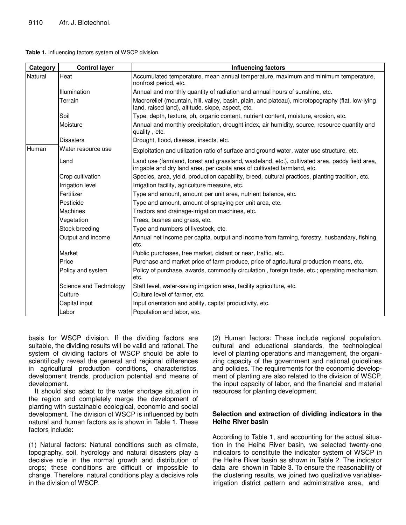| Table 1. Influencing factors system of WSCP division. |  |  |
|-------------------------------------------------------|--|--|
|                                                       |  |  |

| Category | <b>Control layer</b>    | <b>Influencing factors</b>                                                                                                                                                  |
|----------|-------------------------|-----------------------------------------------------------------------------------------------------------------------------------------------------------------------------|
| Natural  | Heat                    | Accumulated temperature, mean annual temperature, maximum and minimum temperature,<br>nonfrost period, etc.                                                                 |
|          | Illumination            | Annual and monthly quantity of radiation and annual hours of sunshine, etc.                                                                                                 |
|          | Terrain                 | Macrorelief (mountain, hill, valley, basin, plain, and plateau), microtopography (flat, low-lying<br>land, raised land), altitude, slope, aspect, etc.                      |
|          | Soil                    | Type, depth, texture, ph, organic content, nutrient content, moisture, erosion, etc.                                                                                        |
|          | Moisture                | Annual and monthly precipitation, drought index, air humidity, source, resource quantity and<br>quality, etc.                                                               |
|          | <b>Disasters</b>        | Drought, flood, disease, insects, etc.                                                                                                                                      |
| Human    | Water resource use      | Exploitation and utilization ratio of surface and ground water, water use structure, etc.                                                                                   |
|          | Land                    | Land use (farmland, forest and grassland, wasteland, etc.), cultivated area, paddy field area,<br>irrigable and dry land area, per capita area of cultivated farmland, etc. |
|          | Crop cultivation        | Species, area, yield, production capability, breed, cultural practices, planting tradition, etc.                                                                            |
|          | <b>Irrigation level</b> | Irrigation facility, agriculture measure, etc.                                                                                                                              |
|          | <b>IFertilizer</b>      | Type and amount, amount per unit area, nutrient balance, etc.                                                                                                               |
|          | Pesticide               | Type and amount, amount of spraying per unit area, etc.                                                                                                                     |
|          | Machines                | Tractors and drainage-irrigation machines, etc.                                                                                                                             |
|          | Vegetation              | Trees, bushes and grass, etc.                                                                                                                                               |
|          | Stock breeding          | Type and numbers of livestock, etc.                                                                                                                                         |
|          | Output and income       | Annual net income per capita, output and income from farming, forestry, husbandary, fishing,<br>etc.                                                                        |
|          | Market                  | Public purchases, free market, distant or near, traffic, etc.                                                                                                               |
|          | Price                   | Purchase and market price of farm produce, price of agricultural production means, etc.                                                                                     |
|          | Policy and system       | Policy of purchase, awards, commodity circulation, foreign trade, etc.; operating mechanism,<br>etc.                                                                        |
|          | Science and Technology  | Staff level, water-saving irrigation area, facility agriculture, etc.                                                                                                       |
|          | Culture                 | Culture level of farmer, etc.                                                                                                                                               |
|          | Capital input           | Input orientation and ability, capital productivity, etc.                                                                                                                   |
|          | Labor                   | Population and labor, etc.                                                                                                                                                  |

basis for WSCP division. If the dividing factors are suitable, the dividing results will be valid and rational. The system of dividing factors of WSCP should be able to scientifically reveal the general and regional differences in agricultural production conditions, characteristics, development trends, production potential and means of development.

It should also adapt to the water shortage situation in the region and completely merge the development of planting with sustainable ecological, economic and social development. The division of WSCP is influenced by both natural and human factors as is shown in Table 1. These factors include:

(1) Natural factors: Natural conditions such as climate, topography, soil, hydrology and natural disasters play a decisive role in the normal growth and distribution of crops; these conditions are difficult or impossible to change. Therefore, natural conditions play a decisive role in the division of WSCP.

(2) Human factors: These include regional population, cultural and educational standards, the technological level of planting operations and management, the organizing capacity of the government and national guidelines and policies. The requirements for the economic development of planting are also related to the division of WSCP, the input capacity of labor, and the financial and material resources for planting development.

#### **Selection and extraction of dividing indicators in the Heihe River basin**

According to Table 1, and accounting for the actual situation in the Heihe River basin, we selected twenty-one indicators to constitute the indicator system of WSCP in the Heihe River basin as shown in Table 2. The indicator data are shown in Table 3. To ensure the reasonability of the clustering results, we joined two qualitative variablesirrigation district pattern and administrative area, and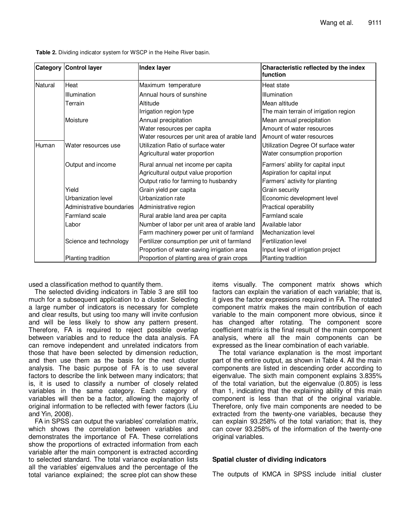|         | Category Control layer    | <b>Index layer</b>                           | Characteristic reflected by the index<br>function |
|---------|---------------------------|----------------------------------------------|---------------------------------------------------|
| Natural | Heat                      | Maximum temperature                          | Heat state                                        |
|         | Illumination              | Annual hours of sunshine                     | Illumination                                      |
|         | Terrain                   | Altitude                                     | Mean altitude                                     |
|         |                           | Irrigation region type                       | The main terrain of irrigation region             |
|         | Moisture                  | Annual precipitation                         | Mean annual precipitation                         |
|         |                           | Water resources per capita                   | Amount of water resources                         |
|         |                           | Water resources per unit area of arable land | Amount of water resources                         |
| Human   | Water resources use       | Utilization Ratio of surface water           | Utilization Degree Of surface water               |
|         |                           | Agricultural water proportion                | Water consumption proportion                      |
|         | Output and income         | Rural annual net income per capita           | Farmers' ability for capital input                |
|         |                           | Agricultural output value proportion         | Aspiration for capital input                      |
|         |                           | Output ratio for farming to husbandry        | Farmers' activity for planting                    |
|         | Yield                     | Grain yield per capita                       | Grain security                                    |
|         | Urbanization level        | Urbanization rate                            | Economic development level                        |
|         | Administrative boundaries | Administrative region                        | Practical operability                             |
|         | Farmland scale            | Rural arable land area per capita            | Farmland scale                                    |
|         | Labor                     | Number of labor per unit area of arable land | Available labor                                   |
|         |                           | Farm machinery power per unit of farmland    | Mechanization level                               |
|         | Science and technology    | Fertilizer consumption per unit of farmland  | Fertilization level                               |
|         |                           | Proportion of water-saving irrigation area   | Input level of irrigation project                 |
|         | Planting tradition        | Proportion of planting area of grain crops   | Planting tradition                                |

**Table 2.** Dividing indicator system for WSCP in the Heihe River basin.

used a classification method to quantify them.

The selected dividing indicators in Table 3 are still too much for a subsequent application to a cluster. Selecting a large number of indicators is necessary for complete and clear results, but using too many will invite confusion and will be less likely to show any pattern present. Therefore, FA is required to reject possible overlap between variables and to reduce the data analysis. FA can remove independent and unrelated indicators from those that have been selected by dimension reduction, and then use them as the basis for the next cluster analysis. The basic purpose of FA is to use several factors to describe the link between many indicators; that is, it is used to classify a number of closely related variables in the same category. Each category of variables will then be a factor, allowing the majority of original information to be reflected with fewer factors (Liu and Yin, 2008).

FA in SPSS can output the variables' correlation matrix, which shows the correlation between variables and demonstrates the importance of FA. These correlations show the proportions of extracted information from each variable after the main component is extracted according to selected standard. The total variance explanation lists all the variables' eigenvalues and the percentage of the total variance explained; the scree plot can show these

items visually. The component matrix shows which factors can explain the variation of each variable; that is, it gives the factor expressions required in FA. The rotated component matrix makes the main contribution of each variable to the main component more obvious, since it has changed after rotating. The component score coefficient matrix is the final result of the main component analysis, where all the main components can be expressed as the linear combination of each variable.

The total variance explanation is the most important part of the entire output, as shown in Table 4. All the main components are listed in descending order according to eigenvalue. The sixth main component explains 3.835% of the total variation, but the eigenvalue (0.805) is less than 1, indicating that the explaining ability of this main component is less than that of the original variable. Therefore, only five main components are needed to be extracted from the twenty-one variables, because they can explain 93.258% of the total variation; that is, they can cover 93.258% of the information of the twenty-one original variables.

# **Spatial cluster of dividing indicators**

The outputs of KMCA in SPSS include initial cluster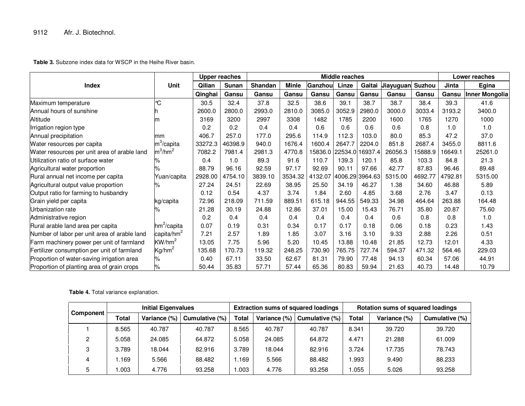**Table 3.** Subzone index data for WSCP in the Heihe River basin.

|                                              |                        | <b>Upper reaches</b> |         |         | <b>Middle reaches</b> |                         |        |                 |           |               | Lower reaches |                |
|----------------------------------------------|------------------------|----------------------|---------|---------|-----------------------|-------------------------|--------|-----------------|-----------|---------------|---------------|----------------|
| <b>Index</b>                                 | <b>Unit</b>            | Qilian               | Sunan   | Shandan | Minle                 | Ganzhou                 | Linze  | Gaitai          | Jiayuguan | <b>Suzhou</b> | Jinta         | Egina          |
|                                              |                        | Qinghai              | Gansu   | Gansu   | Gansu                 | Gansu                   | Gansu  | Gansu           | Gansu     | Gansu         | Gansu         | Inner Mongolia |
| Maximum temperature                          | °C                     | 30.5                 | 32.4    | 37.8    | 32.5                  | 38.6                    | 39.1   | 38.7            | 38.7      | 38.4          | 39.3          | 41.6           |
| Annual hours of sunshine                     |                        | 2600.0               | 2800.0  | 2993.0  | 2810.0                | 3085.0                  | 3052.9 | 2980.0          | 3000.0    | 3033.4        | 3193.2        | 3400.0         |
| Altitude                                     |                        | 3169                 | 3200    | 2997    | 3308                  | 1482                    | 1785   | 2200            | 1600      | 1765          | 1270          | 1000           |
| Irrigation region type                       |                        | 0.2                  | 0.2     | 0.4     | 0.4                   | 0.6                     | 0.6    | 0.6             | 0.6       | 0.8           | 1.0           | 1.0            |
| Annual precipitation                         | mm                     | 406.7                | 257.0   | 177.0   | 295.6                 | 114.9                   | 112.3  | 103.0           | 80.0      | 85.3          | 47.2          | 37.0           |
| Water resources per capita                   | $m^3$ /capita          | 33272.3              | 46398.9 | 940.0   | 1676.4                | 1600.4                  | 2647.7 | 2204.0          | 851.8     | 2687.4        | 3455.0        | 8811.6         |
| Water resources per unit area of arable land | $m^3/hm^2$             | 7082.2               | 7981.4  | 2981.3  | 4770.8                | 15836.0 22534.0 16937.4 |        |                 | 26056.3   | 15888.9       | 16649.1       | 25261.0        |
| Utilization ratio of surface water           | ‰                      | 0.4                  | 1.0     | 89.3    | 91.6                  | 110.7                   | 139.3  | 120.1           | 85.8      | 103.3         | 84.8          | 21.3           |
| Agricultural water proportion                | ℅                      | 88.79                | 96.16   | 92.59   | 97.17                 | 92.69                   | 90.11  | 97.66           | 42.77     | 87.83         | 96.46         | 89.48          |
| Rural annual net income per capita           | Yuan/capita            | 2928.00              | 4754.10 | 3839.10 | 3534.32               | 4132.07                 |        | 4006.29 3964.63 | 5315.00   | 4692.77       | 4792.81       | 5315.00        |
| Agricultural output value proportion         | ℅                      | 27.24                | 24.51   | 22.69   | 38.95                 | 25.50                   | 34.19  | 46.27           | 1.38      | 34.60         | 46.88         | 5.89           |
| Output ratio for farming to husbandry        |                        | 0.12                 | 0.54    | 4.37    | 3.74                  | 1.84                    | 2.60   | 4.85            | 3.68      | 2.76          | 3.47          | 0.13           |
| Grain yield per capita                       | kg/capita              | 72.96                | 218.09  | 711.59  | 889.51                | 615.18                  | 944.55 | 549.33          | 34.98     | 464.64        | 263.88        | 164.48         |
| Urbanization rate                            | ℅                      | 21.28                | 30.19   | 24.88   | 12.86                 | 37.01                   | 15.00  | 15.43           | 76.71     | 35.80         | 20.87         | 75.60          |
| Administrative region                        |                        | 0.2                  | 0.4     | 0.4     | 0.4                   | 0.4                     | 0.4    | 0.4             | 0.6       | 0.8           | 0.8           | 1.0            |
| Rural arable land area per capita            | $hm^2$ /capita         | 0.07                 | 0.19    | 0.31    | 0.34                  | 0.17                    | 0.17   | 0.18            | 0.06      | 0.18          | 0.23          | 1.43           |
| Number of labor per unit area of arable land | capita/hm <sup>2</sup> | 7.21                 | 2.57    | 1.89    | 1.85                  | 3.07                    | 3.16   | 3.10            | 9.33      | 2.88          | 2.26          | 0.51           |
| Farm machinery power per unit of farmland    | $\text{KW/hm}^2$       | 13.05                | 7.75    | 5.96    | 5.20                  | 10.45                   | 13.88  | 10.48           | 21.85     | 12.73         | 12.01         | 4.33           |
| Fertilizer consumption per unit of farmland  | $\text{Kg/hm}^2$       | 135.68               | 170.73  | 119.32  | 248.25                | 730.90                  | 765.75 | 727.74          | 594.37    | 471.32        | 564.46        | 229.03         |
| Proportion of water-saving irrigation area   | ℅                      | 0.40                 | 67.11   | 33.50   | 62.67                 | 81.31                   | 79.90  | 77.48           | 94.13     | 60.34         | 57.06         | 44.91          |
| Proportion of planting area of grain crops   | $\%$                   | 50.44                | 35.83   | 57.71   | 57.44                 | 65.36                   | 80.83  | 59.94           | 21.63     | 40.73         | 14.48         | 10.79          |

|  |  |  | Table 4. Total variance explanation. |
|--|--|--|--------------------------------------|
|--|--|--|--------------------------------------|

|           | <b>Initial Eigenvalues</b> |                 |                | <b>Extraction sums of squared loadings</b> |              |                | <b>Rotation sums of squared loadings</b> |              |                |
|-----------|----------------------------|-----------------|----------------|--------------------------------------------|--------------|----------------|------------------------------------------|--------------|----------------|
| Component | <b>Total</b>               | Variance $(\%)$ | Cumulative (%) | <b>Total</b>                               | Variance (%) | Cumulative (%) | <b>Total</b>                             | Variance (%) | Cumulative (%) |
|           | 8.565                      | 40.787          | 40.787         | 8.565                                      | 40.787       | 40.787         | 8.341                                    | 39.720       | 39.720         |
| C.        | 5.058                      | 24.085          | 64.872         | 5.058                                      | 24.085       | 64.872         | 4.471                                    | 21.288       | 61.009         |
| 3         | 3.789                      | 18.044          | 82.916         | 3.789                                      | 18.044       | 82.916         | 3.724                                    | 17.735       | 78.743         |
| 4         | 1.169                      | 5.566           | 88.482         | 1.169                                      | 5.566        | 88.482         | .993                                     | 9.490        | 88.233         |
| 5         | .003                       | 4.776           | 93.258         | .003                                       | 4.776        | 93.258         | .055                                     | 5.026        | 93.258         |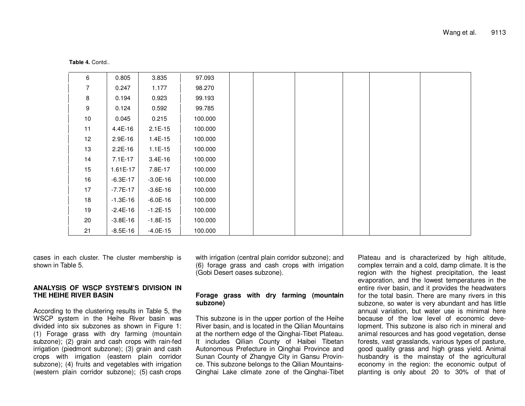| 6    | 0.805      | 3.835      | 97.093  |  |  |  |
|------|------------|------------|---------|--|--|--|
| 7    | 0.247      | 1.177      | 98.270  |  |  |  |
| 8    | 0.194      | 0.923      | 99.193  |  |  |  |
| 9    | 0.124      | 0.592      | 99.785  |  |  |  |
| $10$ | 0.045      | 0.215      | 100.000 |  |  |  |
| 11   | 4.4E-16    | $2.1E-15$  | 100.000 |  |  |  |
| 12   | 2.9E-16    | 1.4E-15    | 100.000 |  |  |  |
| 13   | $2.2E-16$  | $1.1E-15$  | 100.000 |  |  |  |
| 14   | 7.1E-17    | 3.4E-16    | 100.000 |  |  |  |
| 15   | 1.61E-17   | 7.8E-17    | 100.000 |  |  |  |
| 16   | $-6.3E-17$ | $-3.0E-16$ | 100.000 |  |  |  |
| 17   | $-7.7E-17$ | $-3.6E-16$ | 100.000 |  |  |  |
| 18   | $-1.3E-16$ | $-6.0E-16$ | 100.000 |  |  |  |
| 19   | $-2.4E-16$ | $-1.2E-15$ | 100.000 |  |  |  |
| 20   | $-3.8E-16$ | $-1.8E-15$ | 100.000 |  |  |  |
| 21   | $-8.5E-16$ | $-4.0E-15$ | 100.000 |  |  |  |

**Table 4.** Contd..

cases in each cluster. The cluster membership is shown in Table 5.

#### **ANALYSIS OF WSCP SYSTEM'S DIVISION IN THE HEIHE RIVER BASIN**

According to the clustering results in Table 5, the WSCP system in the Heihe River basin was divided into six subzones as shown in Figure 1: (1) Forage grass with dry farming (mountain subzone); (2) grain and cash crops with rain-fed irrigation (piedmont subzone); (3) grain and cash crops with irrigation (eastern plain corridor subzone); (4) fruits and vegetables with irrigation (western plain corridor subzone); (5) cash crops

with irrigation (central plain corridor subzone); and (6) forage grass and cash crops with irrigation (Gobi Desert oases subzone).

# **Forage grass with dry farming (mountain subzone)**

This subzone is in the upper portion of the Heihe River basin, and is located in the Qilian Mountains at the northern edge of the Qinghai-Tibet Plateau. It includes Qilian County of Haibei Tibetan Autonomous Prefecture in Qinghai Province and Sunan County of Zhangye City in Gansu Province. This subzone belongs to the Qilian Mountains-Qinghai Lake climate zone of the Qinghai-Tibet

Plateau and is characterized by high altitude, complex terrain and <sup>a</sup> cold, damp climate. It is the region with the highest precipitation, the least evaporation, and the lowest temperatures in the entire river basin, and it provides the headwaters for the total basin. There are many rivers in this subzone, so water is very abundant and has little annual variation, but water use is minimal here because of the low level of economic development. This subzone is also rich in mineral and animal resources and has good vegetation, dense forests, vast grasslands, various types of pasture, good quality grass and high grass yield. Animal husbandry is the mainstay of the agricultural economy in the region: the economic output of planting is only about 20 to 30% of that of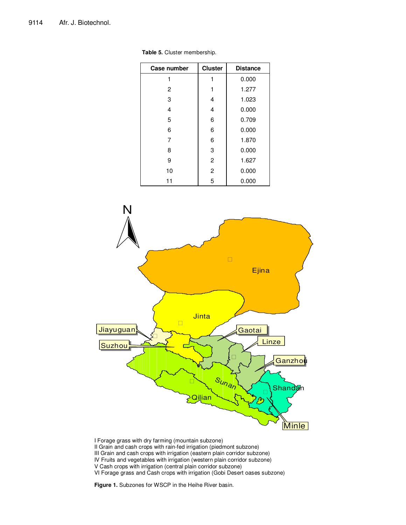| Case number | <b>Cluster</b> | <b>Distance</b> |
|-------------|----------------|-----------------|
| 1           | 1              | 0.000           |
| 2           | 1              | 1.277           |
| 3           | 4              | 1.023           |
| 4           | 4              | 0.000           |
| 5           | 6              | 0.709           |
| 6           | 6              | 0.000           |
| 7           | 6              | 1.870           |
| 8           | 3              | 0.000           |
| 9           | $\overline{2}$ | 1.627           |
| 10          | $\overline{2}$ | 0.000           |
| 11          | 5              | 0.000           |

**Table 5.** Cluster membership.



I Forage grass with dry farming (mountain subzone) II Grain and cash crops with rain-fed irrigation (piedmont subzone) III Grain and cash crops with irrigation (eastern plain corridor subzone) IV Fruits and vegetables with irrigation (western plain corridor subzone) V Cash crops with irrigation (central plain corridor subzone) VI Forage grass and Cash crops with irrigation (Gobi Desert oases subzone)

**Figure 1.** Subzones for WSCP in the Heihe River basin.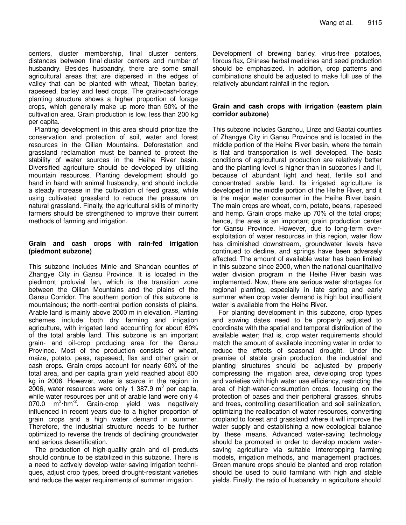centers, cluster membership, final cluster centers, distances between final cluster centers and number of husbandry. Besides husbandry, there are some small agricultural areas that are dispersed in the edges of valley that can be planted with wheat, Tibetan barley, rapeseed, barley and feed crops. The grain-cash-forage planting structure shows a higher proportion of forage crops, which generally make up more than 50% of the cultivation area. Grain production is low, less than 200 kg per capita.

Planting development in this area should prioritize the conservation and protection of soil, water and forest resources in the Qilian Mountains. Deforestation and grassland reclamation must be banned to protect the stability of water sources in the Heihe River basin. Diversified agriculture should be developed by utilizing mountain resources. Planting development should go hand in hand with animal husbandry, and should include a steady increase in the cultivation of feed grass, while using cultivated grassland to reduce the pressure on natural grassland. Finally, the agricultural skills of minority farmers should be strengthened to improve their current methods of farming and irrigation.

#### **Grain and cash crops with rain-fed irrigation (piedmont subzone)**

This subzone includes Minle and Shandan counties of Zhangye City in Gansu Province. It is located in the piedmont proluvial fan, which is the transition zone between the Qilian Mountains and the plains of the Gansu Corridor. The southern portion of this subzone is mountainous; the north-central portion consists of plains. Arable land is mainly above 2000 m in elevation. Planting schemes include both dry farming and irrigation agriculture, with irrigated land accounting for about 60% of the total arable land. This subzone is an important grain- and oil-crop producing area for the Gansu Province. Most of the production consists of wheat, maize, potato, peas, rapeseed, flax and other grain or cash crops. Grain crops account for nearly 60% of the total area, and per capita grain yield reached about 800 kg in 2006. However, water is scarce in the region: in 2006, water resources were only 1 387.9 m<sup>3</sup> per capita, while water resources per unit of arable land were only 4 070.0 m<sup>3</sup>·hm<sup>-2</sup>. Grain-crop yield was negatively influenced in recent years due to a higher proportion of grain crops and a high water demand in summer. Therefore, the industrial structure needs to be further optimized to reverse the trends of declining groundwater and serious desertification.

The production of high-quality grain and oil products should continue to be stabilized in this subzone. There is a need to actively develop water-saving irrigation techniques, adjust crop types, breed drought-resistant varieties and reduce the water requirements of summer irrigation.

Development of brewing barley, virus-free potatoes, fibrous flax, Chinese herbal medicines and seed production should be emphasized. In addition, crop patterns and combinations should be adjusted to make full use of the relatively abundant rainfall in the region.

### **Grain and cash crops with irrigation (eastern plain corridor subzone)**

This subzone includes Ganzhou, Linze and Gaotai counties of Zhangye City in Gansu Province and is located in the middle portion of the Heihe River basin, where the terrain is flat and transportation is well developed. The basic conditions of agricultural production are relatively better and the planting level is higher than in subzones I and II, because of abundant light and heat, fertile soil and concentrated arable land. Its irrigated agriculture is developed in the middle portion of the Heihe River, and it is the major water consumer in the Heihe River basin. The main crops are wheat, corn, potato, beans, rapeseed and hemp. Grain crops make up 70% of the total crops; hence, the area is an important grain production center for Gansu Province. However, due to long-term overexploitation of water resources in this region, water flow has diminished downstream, groundwater levels have continued to decline, and springs have been adversely affected. The amount of available water has been limited in this subzone since 2000, when the national quantitative water division program in the Heihe River basin was implemented. Now, there are serious water shortages for regional planting, especially in late spring and early summer when crop water demand is high but insufficient water is available from the Heihe River.

For planting development in this subzone, crop types and sowing dates need to be properly adjusted to coordinate with the spatial and temporal distribution of the available water; that is, crop water requirements should match the amount of available incoming water in order to reduce the effects of seasonal drought. Under the premise of stable grain production, the industrial and planting structures should be adjusted by properly compressing the irrigation area, developing crop types and varieties with high water use efficiency, restricting the area of high-water-consumption crops, focusing on the protection of oases and their peripheral grasses, shrubs and trees, controlling desertification and soil salinization, optimizing the reallocation of water resources, converting cropland to forest and grassland where it will improve the water supply and establishing a new ecological balance by these means. Advanced water-saving technology should be promoted in order to develop modern watersaving agriculture via suitable intercropping farming models, irrigation methods, and management practices. Green manure crops should be planted and crop rotation should be used to build farmland with high and stable yields. Finally, the ratio of husbandry in agriculture should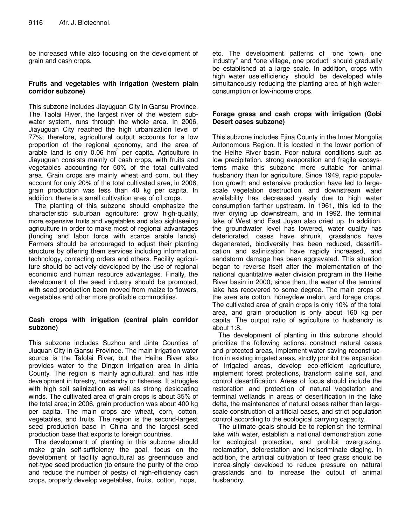be increased while also focusing on the development of grain and cash crops.

# **Fruits and vegetables with irrigation (western plain corridor subzone)**

This subzone includes Jiayuguan City in Gansu Province. The Taolai River, the largest river of the western subwater system, runs through the whole area. In 2006, Jiayuguan City reached the high urbanization level of 77%; therefore, agricultural output accounts for a low proportion of the regional economy, and the area of arable land is only 0.06 hm<sup>2</sup> per capita. Agriculture in Jiayuguan consists mainly of cash crops, with fruits and vegetables accounting for 50% of the total cultivated area. Grain crops are mainly wheat and corn, but they account for only 20% of the total cultivated area; in 2006, grain production was less than 40 kg per capita. In addition, there is a small cultivation area of oil crops.

The planting of this subzone should emphasize the characteristic suburban agriculture: grow high-quality, more expensive fruits and vegetables and also sightseeing agriculture in order to make most of regional advantages (funding and labor force with scarce arable lands). Farmers should be encouraged to adjust their planting structure by offering them services including information, technology, contacting orders and others. Facility agriculture should be actively developed by the use of regional economic and human resource advantages. Finally, the development of the seed industry should be promoted, with seed production been moved from maize to flowers, vegetables and other more profitable commodities.

# **Cash crops with irrigation (central plain corridor subzone)**

This subzone includes Suzhou and Jinta Counties of Jiuquan City in Gansu Province. The main irrigation water source is the Talolai River, but the Heihe River also provides water to the Dingxin irrigation area in Jinta County. The region is mainly agricultural, and has little development in forestry, husbandry or fisheries. It struggles with high soil salinization as well as strong desiccating winds. The cultivated area of grain crops is about 35% of the total area; in 2006, grain production was about 400 kg per capita. The main crops are wheat, corn, cotton, vegetables, and fruits. The region is the second-largest seed production base in China and the largest seed production base that exports to foreign countries.

The development of planting in this subzone should make grain self-sufficiency the goal, focus on the development of facility agricultural as greenhouse and net-type seed production (to ensure the purity of the crop and reduce the number of pests) of high-efficiency cash crops, properly develop vegetables, fruits, cotton, hops,

etc. The development patterns of "one town, one industry" and "one village, one product" should gradually be established at a large scale. In addition, crops with high water use efficiency should be developed while simultaneously reducing the planting area of high-waterconsumption or low-income crops.

# **Forage grass and cash crops with irrigation (Gobi Desert oases subzone)**

This subzone includes Ejina County in the Inner Mongolia Autonomous Region. It is located in the lower portion of the Heihe River basin. Poor natural conditions such as low precipitation, strong evaporation and fragile ecosystems make this subzone more suitable for animal husbandry than for agriculture. Since 1949, rapid population growth and extensive production have led to largescale vegetation destruction, and downstream water availability has decreased yearly due to high water consumption farther upstream. In 1961, this led to the river drying up downstream, and in 1992, the terminal lake of West and East Juyan also dried up. In addition, the groundwater level has lowered, water quality has deteriorated, oases have shrunk, grasslands have degenerated, biodiversity has been reduced, desertification and salinization have rapidly increased, and sandstorm damage has been aggravated. This situation began to reverse itself after the implementation of the national quantitative water division program in the Heihe River basin in 2000; since then, the water of the terminal lake has recovered to some degree. The main crops of the area are cotton, honeydew melon, and forage crops. The cultivated area of grain crops is only 10% of the total area, and grain production is only about 160 kg per capita. The output ratio of agriculture to husbandry is about 1:8.

The development of planting in this subzone should prioritize the following actions: construct natural oases and protected areas, implement water-saving reconstruction in existing irrigated areas, strictly prohibit the expansion of irrigated areas, develop eco-efficient agriculture, implement forest protections, transform saline soil, and control desertification. Areas of focus should include the restoration and protection of natural vegetation and terminal wetlands in areas of desertification in the lake delta, the maintenance of natural oases rather than largescale construction of artificial oases, and strict population control according to the ecological carrying capacity.

The ultimate goals should be to replenish the terminal lake with water, establish a national demonstration zone for ecological protection, and prohibit overgrazing, reclamation, deforestation and indiscriminate digging. In addition, the artificial cultivation of feed grass should be increa-singly developed to reduce pressure on natural grasslands and to increase the output of animal husbandry.